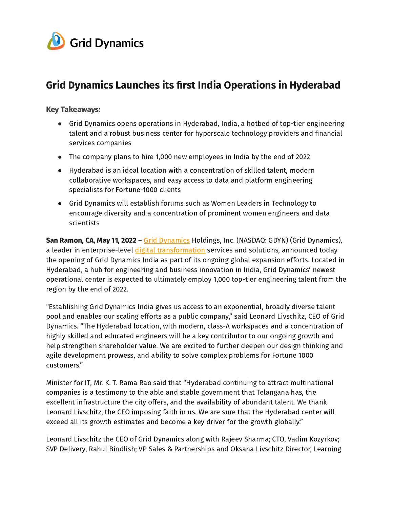

# Grid Dynamics Launches its first India Operations in Hyderabad

#### Key Takeaways:

- Grid Dynamics opens operations in Hyderabad, India, a hotbed of top-tier engineering talent and a robust business center for hyperscale technology providers and financial services companies
- The company plans to hire 1,000 new employees in India by the end of 2022
- Hyderabad is an ideal location with a concentration of skilled talent, modern collaborative workspaces, and easy access to data and platform engineering specialists for Fortune-1000 clients
- Grid Dynamics will establish forums such as Women Leaders in Technology to encourage diversity and a concentration of prominent women engineers and data scientists

San Ramon, CA, May 11, 2022 - Grid [Dynamics](https://www.griddynamics.com/) Holdings, Inc. (NASDAQ: GDYN) (Grid Dynamics), a leader in enterprise-level digital [transformation](https://www.griddynamics.com/industries/retail-and-brands) services and solutions, announced today the opening of Grid Dynamics India as part of its ongoing global expansion efforts. Located in Hyderabad, a hub for engineering and business innovation in India, Grid Dynamics' newest operational center is expected to ultimately employ 1,000 top-tier engineering talent from the region by the end of 2022.

"Establishing Grid Dynamics India gives us access to an exponential, broadly diverse talent pool and enables our scaling efforts as a public company," said Leonard Livschitz, CEO of Grid Dynamics. "The Hyderabad location, with modern, class-A workspaces and a concentration of highly skilled and educated engineers will be a key contributor to our ongoing growth and help strengthen shareholder value. We are excited to further deepen our design thinking and agile development prowess, and ability to solve complex problems for Fortune 1000 customers."

Minister for IT, Mr. K. T. Rama Rao said that "Hyderabad continuing to attract multinational companies is a testimony to the able and stable government that Telangana has, the excellent infrastructure the city offers, and the availability of abundant talent. We thank Leonard Livschitz, the CEO imposing faith in us. We are sure that the Hyderabad center will exceed all its growth estimates and become a key driver for the growth globally."

Leonard Livschitz the CEO of Grid Dynamics along with Rajeev Sharma; CTO, Vadim Kozyrkov; SVP Delivery, Rahul Bindlish; VP Sales & Partnerships and Oksana Livschitz Director, Learning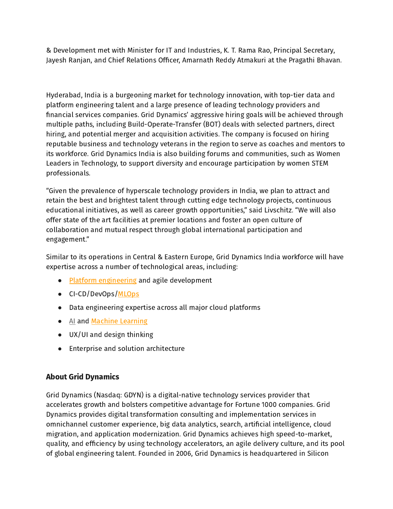& Development met with Minister for IT and Industries, K. T. Rama Rao, Principal Secretary, Jayesh Ranjan, and Chief Relations Officer, Amarnath Reddy Atmakuri at the Pragathi Bhavan.

Hyderabad, India is a burgeoning market for technology innovation, with top-tier data and platform engineering talent and a large presence of leading technology providers and financial services companies. Grid Dynamics' aggressive hiring goals will be achieved through multiple paths, including Build-Operate-Transfer (BOT) deals with selected partners, direct hiring, and potential merger and acquisition activities. The company is focused on hiring reputable business and technology veterans in the region to serve as coaches and mentors to its workforce. Grid Dynamics India is also building forums and communities, such as Women Leaders in Technology, to support diversity and encourage participation by women STEM professionals.

"Given the prevalence of hyperscale technology providers in India, we plan to attract and retain the best and brightest talent through cutting edge technology projects, continuous educational initiatives, as well as career growth opportunities," said Livschitz. "We will also offer state of the art facilities at premier locations and foster an open culture of collaboration and mutual respect through global international participation and engagement."

Similar to its operations in Central & Eastern Europe, Grid Dynamics India workforce will have expertise across a number of technological areas, including:

- Platform [engineering](https://www.griddynamics.com/solutions/digital-transformation/engineering-and-it) and agile development
- CI-CD/DevOps[/MLOps](https://www.griddynamics.com/solutions/mlops)
- Data engineering expertise across all major cloud platforms
- [AI](https://www.griddynamics.com/solutions/data-science-ai) and Machine [Learning](https://www.griddynamics.com/solutions/ml-platform)
- UX/UI and design thinking
- Enterprise and solution architecture

# About Grid Dynamics

Grid Dynamics (Nasdaq: GDYN) is a digital-native technology services provider that accelerates growth and bolsters competitive advantage for Fortune 1000 companies. Grid Dynamics provides digital transformation consulting and implementation services in omnichannel customer experience, big data analytics, search, artificial intelligence, cloud migration, and application modernization. Grid Dynamics achieves high speed-to-market, quality, and efficiency by using technology accelerators, an agile delivery culture, and its pool of global engineering talent. Founded in 2006, Grid Dynamics is headquartered in Silicon